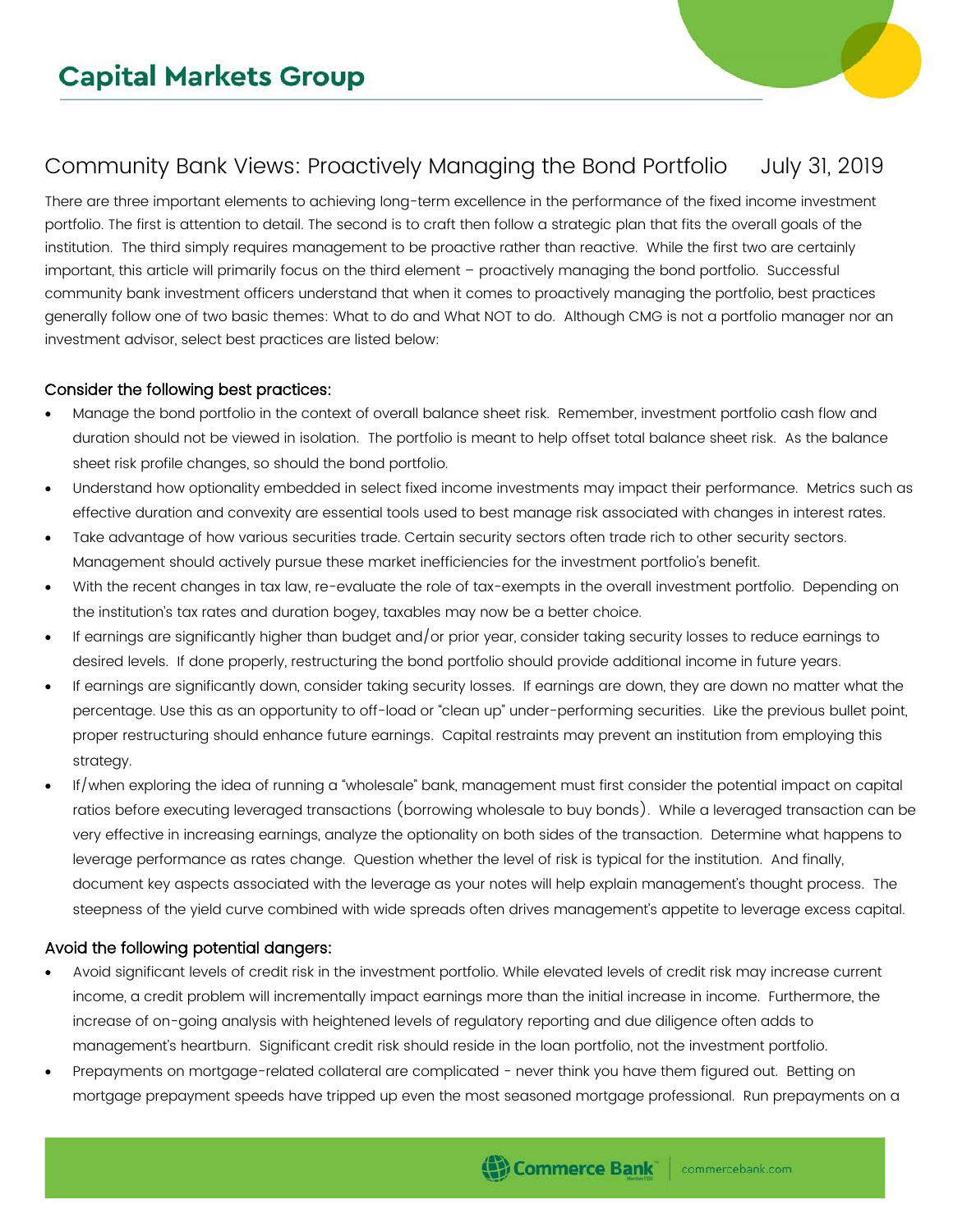## Community Bank Views: Proactively Managing the Bond Portfolio July 31, 2019

There are three important elements to achieving long-term excellence in the performance of the fixed income investment portfolio. The first is attention to detail. The second is to craft then follow a strategic plan that fits the overall goals of the institution. The third simply requires management to be proactive rather than reactive. While the first two are certainly important, this article will primarily focus on the third element – proactively managing the bond portfolio. Successful community bank investment officers understand that when it comes to proactively managing the portfolio, best practices generally follow one of two basic themes: What to do and What NOT to do. Although CMG is not a portfolio manager nor an investment advisor, select best practices are listed below:

## Consider the following best practices:

- Manage the bond portfolio in the context of overall balance sheet risk. Remember, investment portfolio cash flow and duration should not be viewed in isolation. The portfolio is meant to help offset total balance sheet risk. As the balance sheet risk profile changes, so should the bond portfolio.
- Understand how optionality embedded in select fixed income investments may impact their performance. Metrics such as effective duration and convexity are essential tools used to best manage risk associated with changes in interest rates.
- Take advantage of how various securities trade. Certain security sectors often trade rich to other security sectors. Management should actively pursue these market inefficiencies for the investment portfolio's benefit.
- With the recent changes in tax law, re-evaluate the role of tax-exempts in the overall investment portfolio. Depending on the institution's tax rates and duration bogey, taxables may now be a better choice.
- If earnings are significantly higher than budget and/or prior year, consider taking security losses to reduce earnings to desired levels. If done properly, restructuring the bond portfolio should provide additional income in future years.
- If earnings are significantly down, consider taking security losses. If earnings are down, they are down no matter what the percentage. Use this as an opportunity to off-load or "clean up" under-performing securities. Like the previous bullet point, proper restructuring should enhance future earnings. Capital restraints may prevent an institution from employing this strategy.
- If/when exploring the idea of running a "wholesale" bank, management must first consider the potential impact on capital ratios before executing leveraged transactions (borrowing wholesale to buy bonds). While a leveraged transaction can be very effective in increasing earnings, analyze the optionality on both sides of the transaction. Determine what happens to leverage performance as rates change. Question whether the level of risk is typical for the institution. And finally, document key aspects associated with the leverage as your notes will help explain management's thought process. The steepness of the yield curve combined with wide spreads often drives management's appetite to leverage excess capital.

## Avoid the following potential dangers:

- Avoid significant levels of credit risk in the investment portfolio. While elevated levels of credit risk may increase current income, a credit problem will incrementally impact earnings more than the initial increase in income. Furthermore, the increase of on-going analysis with heightened levels of regulatory reporting and due diligence often adds to management's heartburn. Significant credit risk should reside in the loan portfolio, not the investment portfolio.
- Prepayments on mortgage-related collateral are complicated never think you have them figured out. Betting on mortgage prepayment speeds have tripped up even the most seasoned mortgage professional. Run prepayments on a